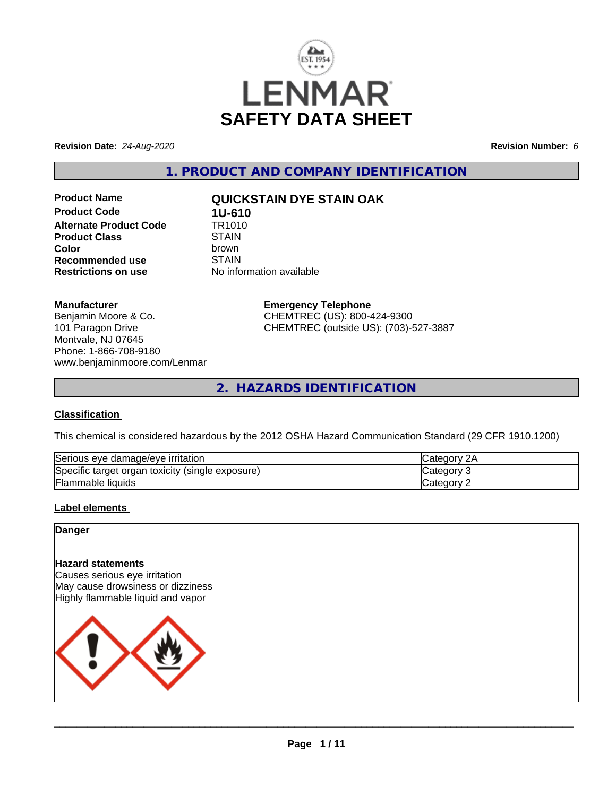

**Revision Date:** *24-Aug-2020* **Revision Number:** *6*

**1. PRODUCT AND COMPANY IDENTIFICATION**

**Product Code 1U-610**<br>**Alternate Product Code 1R1010 Alternate Product Code Product Class** STAIN<br> **Color** brown **Recommended use** STAIN<br> **Restrictions on use** No info

# **Product Name QUICKSTAIN DYE STAIN OAK**

**Color** brown **No information available** 

**Manufacturer**

Benjamin Moore & Co. 101 Paragon Drive Montvale, NJ 07645 Phone: 1-866-708-9180 www.benjaminmoore.com/Lenmar

# **Emergency Telephone**

CHEMTREC (US): 800-424-9300 CHEMTREC (outside US): (703)-527-3887

**2. HAZARDS IDENTIFICATION**

### **Classification**

This chemical is considered hazardous by the 2012 OSHA Hazard Communication Standard (29 CFR 1910.1200)

| Serious eye damage/eye i<br>irritation                           | Categor      |
|------------------------------------------------------------------|--------------|
| Specific<br>exposure)<br>toxicity<br>(single)<br>organ<br>target | ≀u∪u         |
| Flammable<br>liquids                                             | Categor<br>- |

## **Label elements**

**Danger**

# **Hazard statements**

Causes serious eye irritation May cause drowsiness or dizziness Highly flammable liquid and vapor

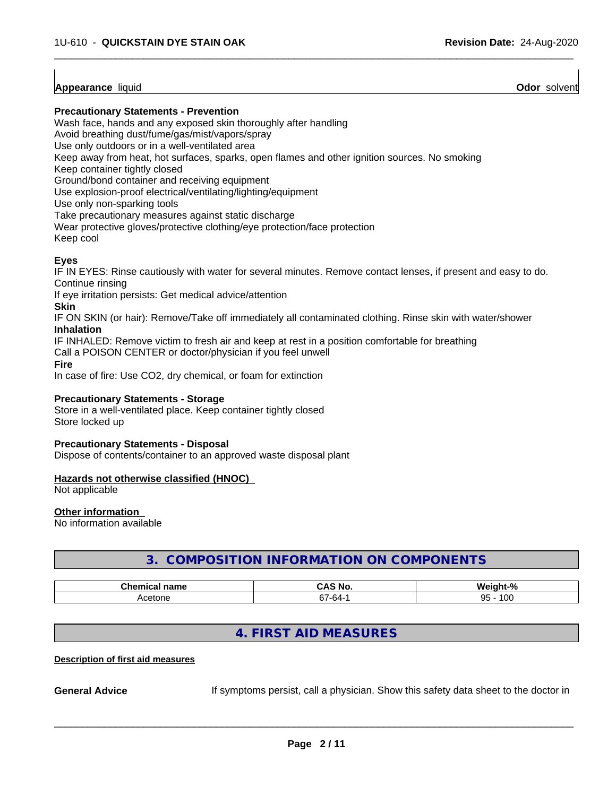### **Appearance** liquid **Odor** solvent

### **Precautionary Statements - Prevention**

Wash face, hands and any exposed skin thoroughly after handling

Avoid breathing dust/fume/gas/mist/vapors/spray

Use only outdoors or in a well-ventilated area

Keep away from heat, hot surfaces, sparks, open flames and other ignition sources. No smoking

Keep container tightly closed

Ground/bond container and receiving equipment

Use explosion-proof electrical/ventilating/lighting/equipment

Use only non-sparking tools

Take precautionary measures against static discharge

Wear protective gloves/protective clothing/eye protection/face protection

Keep cool

# **Eyes**

IF IN EYES: Rinse cautiously with water for several minutes. Remove contact lenses, if present and easy to do. Continue rinsing

 $\overline{\phantom{a}}$  ,  $\overline{\phantom{a}}$  ,  $\overline{\phantom{a}}$  ,  $\overline{\phantom{a}}$  ,  $\overline{\phantom{a}}$  ,  $\overline{\phantom{a}}$  ,  $\overline{\phantom{a}}$  ,  $\overline{\phantom{a}}$  ,  $\overline{\phantom{a}}$  ,  $\overline{\phantom{a}}$  ,  $\overline{\phantom{a}}$  ,  $\overline{\phantom{a}}$  ,  $\overline{\phantom{a}}$  ,  $\overline{\phantom{a}}$  ,  $\overline{\phantom{a}}$  ,  $\overline{\phantom{a}}$ 

If eye irritation persists: Get medical advice/attention

**Skin**

IF ON SKIN (or hair): Remove/Take off immediately all contaminated clothing. Rinse skin with water/shower **Inhalation**

IF INHALED: Remove victim to fresh air and keep at rest in a position comfortable for breathing

Call a POISON CENTER or doctor/physician if you feel unwell

**Fire**

In case of fire: Use CO2, dry chemical, or foam for extinction

### **Precautionary Statements - Storage**

Store in a well-ventilated place. Keep container tightly closed Store locked up

### **Precautionary Statements - Disposal**

Dispose of contents/container to an approved waste disposal plant

### **Hazards not otherwise classified (HNOC)**

Not applicable

### **Other information**

No information available

# **3. COMPOSITION INFORMATION ON COMPONENTS**

| Cham.<br>name<br>.<br>ш.а<br>. | . У<br>No<br>uni     | O.<br>.<br>70          |
|--------------------------------|----------------------|------------------------|
| Acetone                        | ~<br>-64-<br>$\cdot$ | 100<br><b>Q5.</b><br>ື |

# **4. FIRST AID MEASURES**

### **Description of first aid measures**

**General Advice** If symptoms persist, call a physician. Show this safety data sheet to the doctor in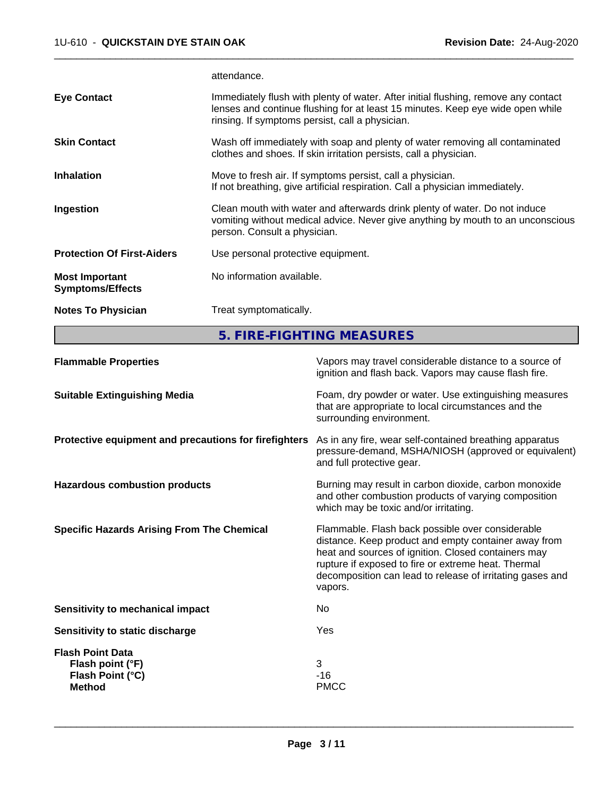attendance.

| <b>Notes To Physician</b>                        | Treat symptomatically.                                                                                                                                                                                                  |
|--------------------------------------------------|-------------------------------------------------------------------------------------------------------------------------------------------------------------------------------------------------------------------------|
| <b>Most Important</b><br><b>Symptoms/Effects</b> | No information available.                                                                                                                                                                                               |
| <b>Protection Of First-Aiders</b>                | Use personal protective equipment.                                                                                                                                                                                      |
| Ingestion                                        | Clean mouth with water and afterwards drink plenty of water. Do not induce<br>vomiting without medical advice. Never give anything by mouth to an unconscious<br>person. Consult a physician.                           |
| <b>Inhalation</b>                                | Move to fresh air. If symptoms persist, call a physician.<br>If not breathing, give artificial respiration. Call a physician immediately.                                                                               |
| <b>Skin Contact</b>                              | Wash off immediately with soap and plenty of water removing all contaminated<br>clothes and shoes. If skin irritation persists, call a physician.                                                                       |
| <b>Eye Contact</b>                               | Immediately flush with plenty of water. After initial flushing, remove any contact<br>lenses and continue flushing for at least 15 minutes. Keep eye wide open while<br>rinsing. If symptoms persist, call a physician. |
|                                                  |                                                                                                                                                                                                                         |

 $\overline{\phantom{a}}$  ,  $\overline{\phantom{a}}$  ,  $\overline{\phantom{a}}$  ,  $\overline{\phantom{a}}$  ,  $\overline{\phantom{a}}$  ,  $\overline{\phantom{a}}$  ,  $\overline{\phantom{a}}$  ,  $\overline{\phantom{a}}$  ,  $\overline{\phantom{a}}$  ,  $\overline{\phantom{a}}$  ,  $\overline{\phantom{a}}$  ,  $\overline{\phantom{a}}$  ,  $\overline{\phantom{a}}$  ,  $\overline{\phantom{a}}$  ,  $\overline{\phantom{a}}$  ,  $\overline{\phantom{a}}$ 

**5. FIRE-FIGHTING MEASURES**

| <b>Flammable Properties</b>                                                      | Vapors may travel considerable distance to a source of<br>ignition and flash back. Vapors may cause flash fire.                                                                                                                                                                                |
|----------------------------------------------------------------------------------|------------------------------------------------------------------------------------------------------------------------------------------------------------------------------------------------------------------------------------------------------------------------------------------------|
| <b>Suitable Extinguishing Media</b>                                              | Foam, dry powder or water. Use extinguishing measures<br>that are appropriate to local circumstances and the<br>surrounding environment.                                                                                                                                                       |
| Protective equipment and precautions for firefighters                            | As in any fire, wear self-contained breathing apparatus<br>pressure-demand, MSHA/NIOSH (approved or equivalent)<br>and full protective gear.                                                                                                                                                   |
| <b>Hazardous combustion products</b>                                             | Burning may result in carbon dioxide, carbon monoxide<br>and other combustion products of varying composition<br>which may be toxic and/or irritating.                                                                                                                                         |
| <b>Specific Hazards Arising From The Chemical</b>                                | Flammable. Flash back possible over considerable<br>distance. Keep product and empty container away from<br>heat and sources of ignition. Closed containers may<br>rupture if exposed to fire or extreme heat. Thermal<br>decomposition can lead to release of irritating gases and<br>vapors. |
| Sensitivity to mechanical impact                                                 | No                                                                                                                                                                                                                                                                                             |
| Sensitivity to static discharge                                                  | Yes                                                                                                                                                                                                                                                                                            |
| <b>Flash Point Data</b><br>Flash point (°F)<br>Flash Point (°C)<br><b>Method</b> | 3<br>$-16$<br><b>PMCC</b>                                                                                                                                                                                                                                                                      |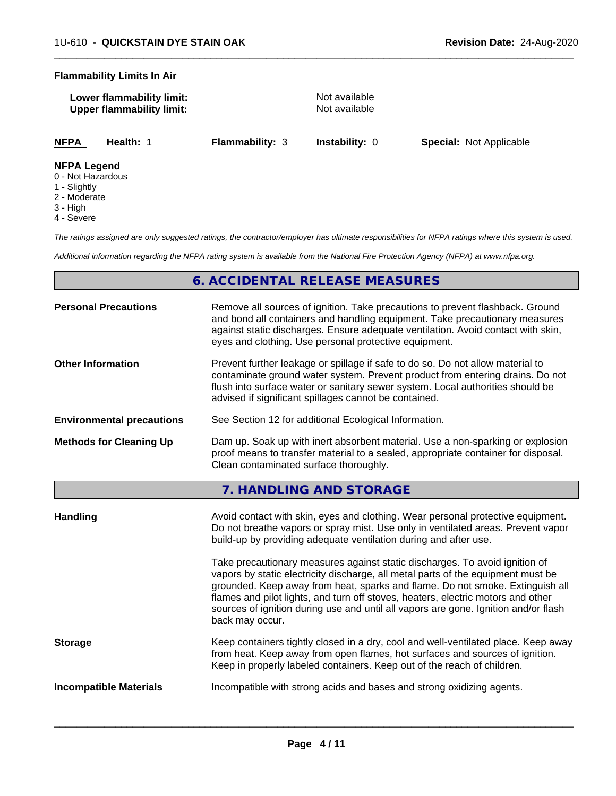### **Flammability Limits In Air**

| Lower flammability limit:        |  |
|----------------------------------|--|
| <b>Upper flammability limit:</b> |  |

**Not available Not available** 

 $\overline{\phantom{a}}$  ,  $\overline{\phantom{a}}$  ,  $\overline{\phantom{a}}$  ,  $\overline{\phantom{a}}$  ,  $\overline{\phantom{a}}$  ,  $\overline{\phantom{a}}$  ,  $\overline{\phantom{a}}$  ,  $\overline{\phantom{a}}$  ,  $\overline{\phantom{a}}$  ,  $\overline{\phantom{a}}$  ,  $\overline{\phantom{a}}$  ,  $\overline{\phantom{a}}$  ,  $\overline{\phantom{a}}$  ,  $\overline{\phantom{a}}$  ,  $\overline{\phantom{a}}$  ,  $\overline{\phantom{a}}$ 

**NFPA Health:** 1 **Flammability:** 3 **Instability:** 0 **Special:** Not Applicable

### **NFPA Legend**

- 0 Not Hazardous
- 1 Slightly
- 2 Moderate
- 3 High
- 4 Severe

*The ratings assigned are only suggested ratings, the contractor/employer has ultimate responsibilities for NFPA ratings where this system is used.*

*Additional information regarding the NFPA rating system is available from the National Fire Protection Agency (NFPA) at www.nfpa.org.*

# **6. ACCIDENTAL RELEASE MEASURES**

| <b>Personal Precautions</b>      | Remove all sources of ignition. Take precautions to prevent flashback. Ground<br>and bond all containers and handling equipment. Take precautionary measures<br>against static discharges. Ensure adequate ventilation. Avoid contact with skin,<br>eyes and clothing. Use personal protective equipment.  |
|----------------------------------|------------------------------------------------------------------------------------------------------------------------------------------------------------------------------------------------------------------------------------------------------------------------------------------------------------|
| <b>Other Information</b>         | Prevent further leakage or spillage if safe to do so. Do not allow material to<br>contaminate ground water system. Prevent product from entering drains. Do not<br>flush into surface water or sanitary sewer system. Local authorities should be<br>advised if significant spillages cannot be contained. |
| <b>Environmental precautions</b> | See Section 12 for additional Ecological Information.                                                                                                                                                                                                                                                      |
| <b>Methods for Cleaning Up</b>   | Dam up. Soak up with inert absorbent material. Use a non-sparking or explosion<br>proof means to transfer material to a sealed, appropriate container for disposal.<br>Clean contaminated surface thoroughly.                                                                                              |

**7. HANDLING AND STORAGE**

| Handling                      | Avoid contact with skin, eyes and clothing. Wear personal protective equipment.<br>Do not breathe vapors or spray mist. Use only in ventilated areas. Prevent vapor<br>build-up by providing adequate ventilation during and after use.                                                                                                                                                                                                        |
|-------------------------------|------------------------------------------------------------------------------------------------------------------------------------------------------------------------------------------------------------------------------------------------------------------------------------------------------------------------------------------------------------------------------------------------------------------------------------------------|
|                               | Take precautionary measures against static discharges. To avoid ignition of<br>vapors by static electricity discharge, all metal parts of the equipment must be<br>grounded. Keep away from heat, sparks and flame. Do not smoke. Extinguish all<br>flames and pilot lights, and turn off stoves, heaters, electric motors and other<br>sources of ignition during use and until all vapors are gone. Ignition and/or flash<br>back may occur. |
| <b>Storage</b>                | Keep containers tightly closed in a dry, cool and well-ventilated place. Keep away<br>from heat. Keep away from open flames, hot surfaces and sources of ignition.<br>Keep in properly labeled containers. Keep out of the reach of children.                                                                                                                                                                                                  |
| <b>Incompatible Materials</b> | Incompatible with strong acids and bases and strong oxidizing agents.                                                                                                                                                                                                                                                                                                                                                                          |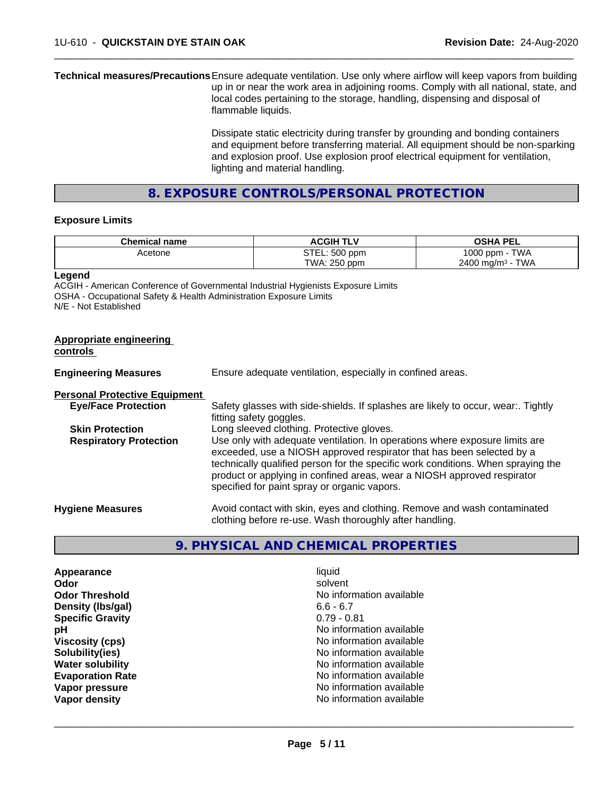**Technical measures/Precautions**Ensure adequate ventilation. Use only where airflow will keep vapors from building up in or near the work area in adjoining rooms. Comply with all national, state, and local codes pertaining to the storage, handling, dispensing and disposal of flammable liquids.

> Dissipate static electricity during transfer by grounding and bonding containers and equipment before transferring material. All equipment should be non-sparking and explosion proof. Use explosion proof electrical equipment for ventilation, lighting and material handling.

 $\overline{\phantom{a}}$  ,  $\overline{\phantom{a}}$  ,  $\overline{\phantom{a}}$  ,  $\overline{\phantom{a}}$  ,  $\overline{\phantom{a}}$  ,  $\overline{\phantom{a}}$  ,  $\overline{\phantom{a}}$  ,  $\overline{\phantom{a}}$  ,  $\overline{\phantom{a}}$  ,  $\overline{\phantom{a}}$  ,  $\overline{\phantom{a}}$  ,  $\overline{\phantom{a}}$  ,  $\overline{\phantom{a}}$  ,  $\overline{\phantom{a}}$  ,  $\overline{\phantom{a}}$  ,  $\overline{\phantom{a}}$ 

**8. EXPOSURE CONTROLS/PERSONAL PROTECTION**

### **Exposure Limits**

| <b>Chemical name</b> | <b>ACGIH</b><br>$\mathbf{L}$ | <b>OSHA PEL</b>                |
|----------------------|------------------------------|--------------------------------|
| Acetone              | STEL: 500 ppm                | <b>TWA</b><br>1000<br>J ppm -  |
|                      | TWA: 250 ppm                 | TWA<br>$2400 \; \text{ma/m}^3$ |

**Legend**

ACGIH - American Conference of Governmental Industrial Hygienists Exposure Limits OSHA - Occupational Safety & Health Administration Exposure Limits N/E - Not Established

| Appropriate engineering<br>controls  |                                                                                                                                                                                                                                                                                                                                                                     |
|--------------------------------------|---------------------------------------------------------------------------------------------------------------------------------------------------------------------------------------------------------------------------------------------------------------------------------------------------------------------------------------------------------------------|
| <b>Engineering Measures</b>          | Ensure adequate ventilation, especially in confined areas.                                                                                                                                                                                                                                                                                                          |
| <b>Personal Protective Equipment</b> |                                                                                                                                                                                                                                                                                                                                                                     |
| <b>Eye/Face Protection</b>           | Safety glasses with side-shields. If splashes are likely to occur, wear Tightly<br>fitting safety goggles.                                                                                                                                                                                                                                                          |
| <b>Skin Protection</b>               | Long sleeved clothing. Protective gloves.                                                                                                                                                                                                                                                                                                                           |
| <b>Respiratory Protection</b>        | Use only with adequate ventilation. In operations where exposure limits are<br>exceeded, use a NIOSH approved respirator that has been selected by a<br>technically qualified person for the specific work conditions. When spraying the<br>product or applying in confined areas, wear a NIOSH approved respirator<br>specified for paint spray or organic vapors. |
| <b>Hygiene Measures</b>              | Avoid contact with skin, eyes and clothing. Remove and wash contaminated<br>clothing before re-use. Wash thoroughly after handling.                                                                                                                                                                                                                                 |

## **9. PHYSICAL AND CHEMICAL PROPERTIES**

| Appearance              | liquid                   |
|-------------------------|--------------------------|
| Odor                    | solvent                  |
| <b>Odor Threshold</b>   | No information available |
| Density (Ibs/gal)       | $6.6 - 6.7$              |
| <b>Specific Gravity</b> | $0.79 - 0.81$            |
| рH                      | No information available |
| <b>Viscosity (cps)</b>  | No information available |
| Solubility(ies)         | No information available |
| <b>Water solubility</b> | No information available |
| <b>Evaporation Rate</b> | No information available |
| Vapor pressure          | No information available |
| Vapor density           | No information available |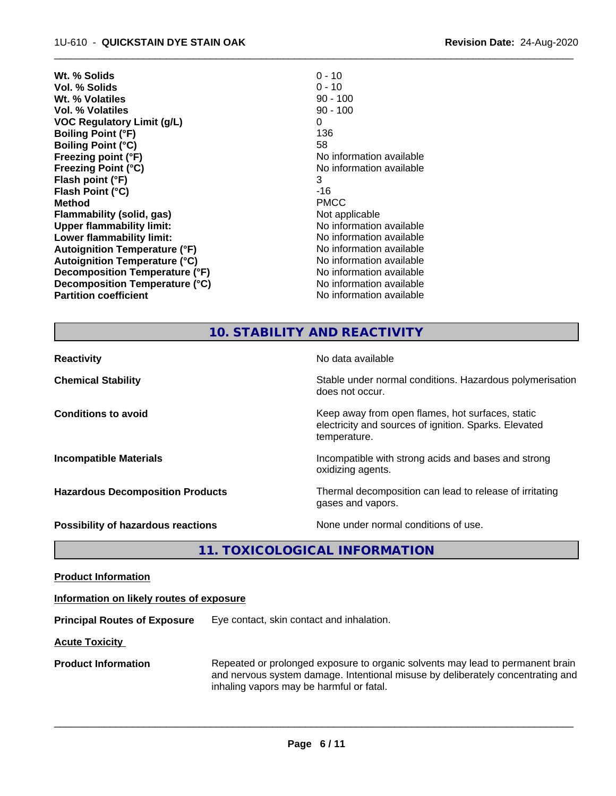| $0 - 10$                 |
|--------------------------|
| $0 - 10$                 |
| $90 - 100$               |
| $90 - 100$               |
| 0                        |
| 136                      |
| 58                       |
| No information available |
| No information available |
| 3                        |
| -16                      |
| <b>PMCC</b>              |
| Not applicable           |
| No information available |
| No information available |
| No information available |
| No information available |
| No information available |
| No information available |
| No information available |
|                          |

# **10. STABILITY AND REACTIVITY**

 $\overline{\phantom{a}}$  ,  $\overline{\phantom{a}}$  ,  $\overline{\phantom{a}}$  ,  $\overline{\phantom{a}}$  ,  $\overline{\phantom{a}}$  ,  $\overline{\phantom{a}}$  ,  $\overline{\phantom{a}}$  ,  $\overline{\phantom{a}}$  ,  $\overline{\phantom{a}}$  ,  $\overline{\phantom{a}}$  ,  $\overline{\phantom{a}}$  ,  $\overline{\phantom{a}}$  ,  $\overline{\phantom{a}}$  ,  $\overline{\phantom{a}}$  ,  $\overline{\phantom{a}}$  ,  $\overline{\phantom{a}}$ 

| <b>Reactivity</b>                         | No data available                                                                                                         |
|-------------------------------------------|---------------------------------------------------------------------------------------------------------------------------|
| <b>Chemical Stability</b>                 | Stable under normal conditions. Hazardous polymerisation<br>does not occur.                                               |
| <b>Conditions to avoid</b>                | Keep away from open flames, hot surfaces, static<br>electricity and sources of ignition. Sparks. Elevated<br>temperature. |
| <b>Incompatible Materials</b>             | Incompatible with strong acids and bases and strong<br>oxidizing agents.                                                  |
| <b>Hazardous Decomposition Products</b>   | Thermal decomposition can lead to release of irritating<br>gases and vapors.                                              |
| <b>Possibility of hazardous reactions</b> | None under normal conditions of use.                                                                                      |

**11. TOXICOLOGICAL INFORMATION**

**Product Information**

### **Information on likely routes of exposure**

**Principal Routes of Exposure** Eye contact, skin contact and inhalation.

**Acute Toxicity** 

**Product Information** Repeated or prolonged exposure to organic solvents may lead to permanent brain and nervous system damage. Intentional misuse by deliberately concentrating and inhaling vapors may be harmful or fatal.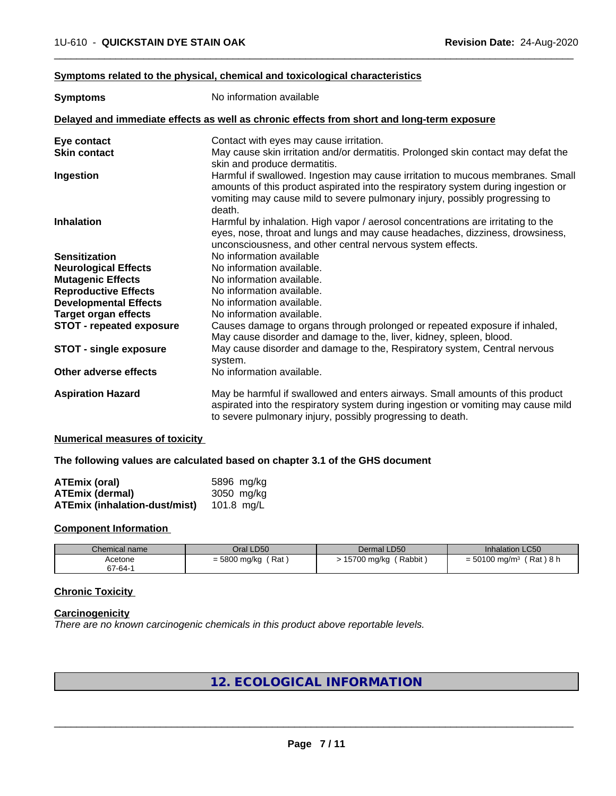### **Symptoms related to the physical,chemical and toxicological characteristics**

| <b>Symptoms</b>                 | No information available                                                                                                                                                                                                                                      |
|---------------------------------|---------------------------------------------------------------------------------------------------------------------------------------------------------------------------------------------------------------------------------------------------------------|
|                                 | Delayed and immediate effects as well as chronic effects from short and long-term exposure                                                                                                                                                                    |
| Eye contact                     | Contact with eyes may cause irritation.                                                                                                                                                                                                                       |
| <b>Skin contact</b>             | May cause skin irritation and/or dermatitis. Prolonged skin contact may defat the<br>skin and produce dermatitis.                                                                                                                                             |
| Ingestion                       | Harmful if swallowed. Ingestion may cause irritation to mucous membranes. Small<br>amounts of this product aspirated into the respiratory system during ingestion or<br>vomiting may cause mild to severe pulmonary injury, possibly progressing to<br>death. |
| <b>Inhalation</b>               | Harmful by inhalation. High vapor / aerosol concentrations are irritating to the<br>eyes, nose, throat and lungs and may cause headaches, dizziness, drowsiness,<br>unconsciousness, and other central nervous system effects.                                |
| <b>Sensitization</b>            | No information available                                                                                                                                                                                                                                      |
| <b>Neurological Effects</b>     | No information available.                                                                                                                                                                                                                                     |
| <b>Mutagenic Effects</b>        | No information available.                                                                                                                                                                                                                                     |
| <b>Reproductive Effects</b>     | No information available.                                                                                                                                                                                                                                     |
| <b>Developmental Effects</b>    | No information available.                                                                                                                                                                                                                                     |
| <b>Target organ effects</b>     | No information available.                                                                                                                                                                                                                                     |
| <b>STOT - repeated exposure</b> | Causes damage to organs through prolonged or repeated exposure if inhaled,<br>May cause disorder and damage to the, liver, kidney, spleen, blood.                                                                                                             |
| <b>STOT - single exposure</b>   | May cause disorder and damage to the, Respiratory system, Central nervous<br>system.                                                                                                                                                                          |
| Other adverse effects           | No information available.                                                                                                                                                                                                                                     |
| <b>Aspiration Hazard</b>        | May be harmful if swallowed and enters airways. Small amounts of this product<br>aspirated into the respiratory system during ingestion or vomiting may cause mild<br>to severe pulmonary injury, possibly progressing to death.                              |

 $\overline{\phantom{a}}$  ,  $\overline{\phantom{a}}$  ,  $\overline{\phantom{a}}$  ,  $\overline{\phantom{a}}$  ,  $\overline{\phantom{a}}$  ,  $\overline{\phantom{a}}$  ,  $\overline{\phantom{a}}$  ,  $\overline{\phantom{a}}$  ,  $\overline{\phantom{a}}$  ,  $\overline{\phantom{a}}$  ,  $\overline{\phantom{a}}$  ,  $\overline{\phantom{a}}$  ,  $\overline{\phantom{a}}$  ,  $\overline{\phantom{a}}$  ,  $\overline{\phantom{a}}$  ,  $\overline{\phantom{a}}$ 

### **Numerical measures of toxicity**

### **The following values are calculated based on chapter 3.1 of the GHS document**

| <b>ATEmix (oral)</b>                 | 5896 mg/ka |
|--------------------------------------|------------|
| <b>ATEmix (dermal)</b>               | 3050 mg/kg |
| <b>ATEmix (inhalation-dust/mist)</b> | 101.8 mg/L |

#### **Component Information**

| Chemical name | Oral LD50           | Dermal LD50           | <b>Inhalation LC50</b>                  |
|---------------|---------------------|-----------------------|-----------------------------------------|
| Acetone       | Rat<br>= 5800 mg/kg | Rabbit<br>15700 mg/kg | (Rat)8 h<br>$= 50100$ mg/m <sup>3</sup> |
| 67-64-1       |                     |                       |                                         |

# **Chronic Toxicity**

### **Carcinogenicity**

*There are no known carcinogenic chemicals in this product above reportable levels.*

# **12. ECOLOGICAL INFORMATION**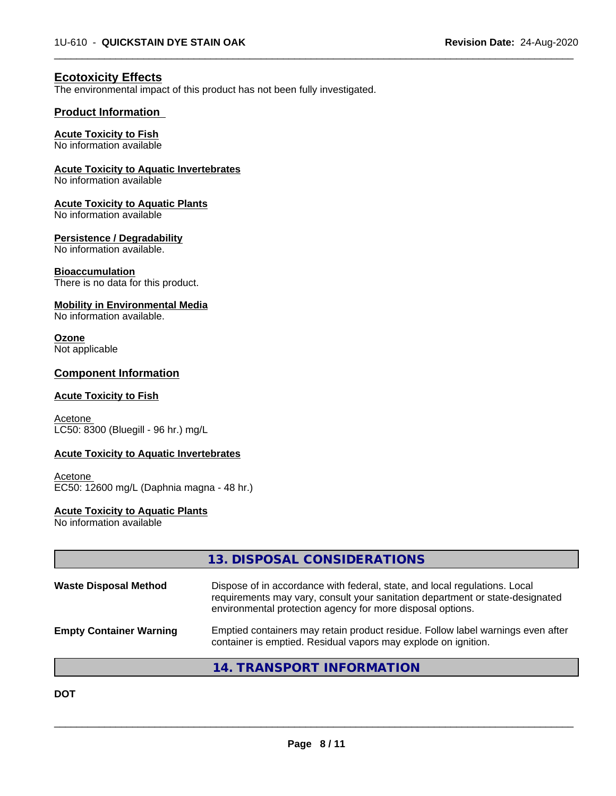$\overline{\phantom{a}}$  ,  $\overline{\phantom{a}}$  ,  $\overline{\phantom{a}}$  ,  $\overline{\phantom{a}}$  ,  $\overline{\phantom{a}}$  ,  $\overline{\phantom{a}}$  ,  $\overline{\phantom{a}}$  ,  $\overline{\phantom{a}}$  ,  $\overline{\phantom{a}}$  ,  $\overline{\phantom{a}}$  ,  $\overline{\phantom{a}}$  ,  $\overline{\phantom{a}}$  ,  $\overline{\phantom{a}}$  ,  $\overline{\phantom{a}}$  ,  $\overline{\phantom{a}}$  ,  $\overline{\phantom{a}}$ 

# **Ecotoxicity Effects**

The environmental impact of this product has not been fully investigated.

### **Product Information**

### **Acute Toxicity to Fish**

No information available

### **Acute Toxicity to Aquatic Invertebrates**

No information available

### **Acute Toxicity to Aquatic Plants**

No information available

### **Persistence / Degradability**

No information available.

### **Bioaccumulation**

There is no data for this product.

### **Mobility in Environmental Media**

No information available.

# **Ozone**

Not applicable

## **Component Information**

### **Acute Toxicity to Fish**

**Acetone** LC50: 8300 (Bluegill - 96 hr.) mg/L

### **Acute Toxicity to Aquatic Invertebrates**

Acetone EC50: 12600 mg/L (Daphnia magna - 48 hr.)

### **Acute Toxicity to Aquatic Plants**

No information available

|                                | 13. DISPOSAL CONSIDERATIONS                                                                                                                                                                                               |
|--------------------------------|---------------------------------------------------------------------------------------------------------------------------------------------------------------------------------------------------------------------------|
| <b>Waste Disposal Method</b>   | Dispose of in accordance with federal, state, and local regulations. Local<br>requirements may vary, consult your sanitation department or state-designated<br>environmental protection agency for more disposal options. |
| <b>Empty Container Warning</b> | Emptied containers may retain product residue. Follow label warnings even after<br>container is emptied. Residual vapors may explode on ignition.                                                                         |
|                                | 14. TRANSPORT INFORMATION                                                                                                                                                                                                 |

**DOT**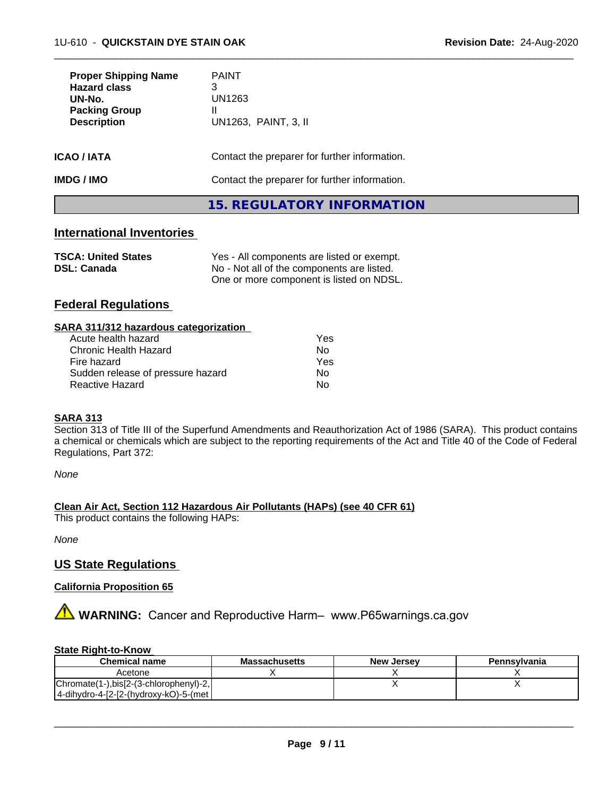| <b>Proper Shipping Name</b><br><b>Hazard class</b><br>UN-No.<br><b>Packing Group</b><br><b>Description</b> | <b>PAINT</b><br>3<br>UN1263<br>Ш<br>UN1263, PAINT, 3, II |
|------------------------------------------------------------------------------------------------------------|----------------------------------------------------------|
| ICAO / IATA                                                                                                | Contact the preparer for further information.            |
| IMDG / IMO                                                                                                 | Contact the preparer for further information.            |
|                                                                                                            | <b>15. REGULATORY INFORMATION</b>                        |

 $\overline{\phantom{a}}$  ,  $\overline{\phantom{a}}$  ,  $\overline{\phantom{a}}$  ,  $\overline{\phantom{a}}$  ,  $\overline{\phantom{a}}$  ,  $\overline{\phantom{a}}$  ,  $\overline{\phantom{a}}$  ,  $\overline{\phantom{a}}$  ,  $\overline{\phantom{a}}$  ,  $\overline{\phantom{a}}$  ,  $\overline{\phantom{a}}$  ,  $\overline{\phantom{a}}$  ,  $\overline{\phantom{a}}$  ,  $\overline{\phantom{a}}$  ,  $\overline{\phantom{a}}$  ,  $\overline{\phantom{a}}$ 

# **International Inventories**

| <b>TSCA: United States</b> | Yes - All components are listed or exempt. |
|----------------------------|--------------------------------------------|
| <b>DSL: Canada</b>         | No - Not all of the components are listed. |
|                            | One or more component is listed on NDSL.   |

# **Federal Regulations**

| SARA 311/312 hazardous categorization |     |  |
|---------------------------------------|-----|--|
| Acute health hazard                   | Yes |  |
| Chronic Health Hazard                 | No. |  |
| Fire hozard                           | Vac |  |

| Chronic Health Hazard<br>N0.            |  |
|-----------------------------------------|--|
| Fire hazard<br>Yes                      |  |
| Sudden release of pressure hazard<br>Nο |  |
| Reactive Hazard<br>No                   |  |

### **SARA 313**

Section 313 of Title III of the Superfund Amendments and Reauthorization Act of 1986 (SARA). This product contains a chemical or chemicals which are subject to the reporting requirements of the Act and Title 40 of the Code of Federal Regulations, Part 372:

*None*

### **Clean Air Act,Section 112 Hazardous Air Pollutants (HAPs) (see 40 CFR 61)**

This product contains the following HAPs:

*None*

## **US State Regulations**

### **California Proposition 65**

**AVIMARNING:** Cancer and Reproductive Harm– www.P65warnings.ca.gov

### **State Right-to-Know**

| <b>Chemical name</b>                   | <b>Massachusetts</b> | <b>New Jersey</b> | Pennsylvania |
|----------------------------------------|----------------------|-------------------|--------------|
| Acetone                                |                      |                   |              |
| Chromate(1-),bis[2-(3-chlorophenyl)-2, |                      |                   |              |
| 4-dihydro-4-[2-[2-(hydroxy-kO)-5-(met  |                      |                   |              |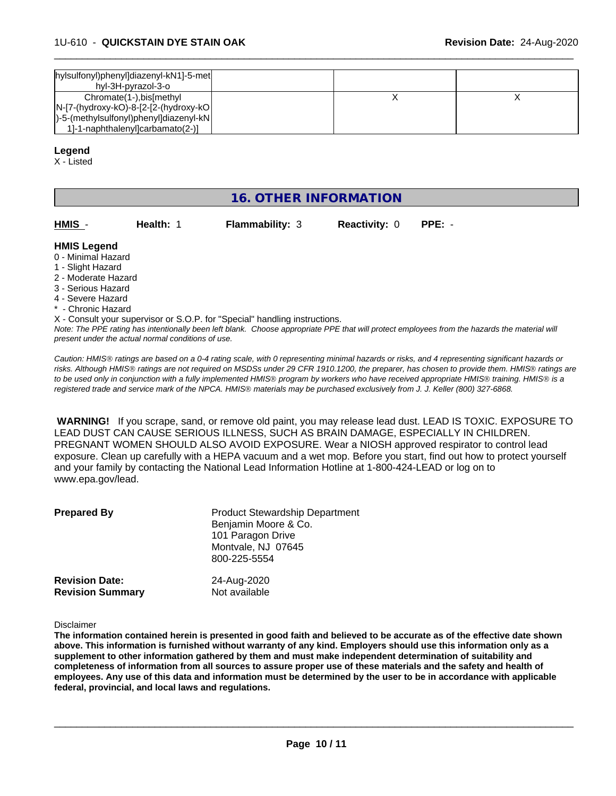| hylsulfonyl)phenyl]diazenyl-kN1]-5-met<br>hyl-3H-pyrazol-3-o             |  |
|--------------------------------------------------------------------------|--|
| Chromate(1-), bis[methyl<br>$N-[7-(hydroxy-kO)-8-[2-(hydroxy-kO)]$       |  |
| )-5-(methylsulfonyl)phenyl]diazenyl-kN <br>1-1-naphthalenyloarbamato(2-) |  |

 $\overline{\phantom{a}}$  ,  $\overline{\phantom{a}}$  ,  $\overline{\phantom{a}}$  ,  $\overline{\phantom{a}}$  ,  $\overline{\phantom{a}}$  ,  $\overline{\phantom{a}}$  ,  $\overline{\phantom{a}}$  ,  $\overline{\phantom{a}}$  ,  $\overline{\phantom{a}}$  ,  $\overline{\phantom{a}}$  ,  $\overline{\phantom{a}}$  ,  $\overline{\phantom{a}}$  ,  $\overline{\phantom{a}}$  ,  $\overline{\phantom{a}}$  ,  $\overline{\phantom{a}}$  ,  $\overline{\phantom{a}}$ 

### **Legend**

X - Listed

# **16. OTHER INFORMATION**

| HMIS               | Health: 1 | <b>Flammability: 3</b> | <b>Reactivity: 0</b> | PPE: - |  |
|--------------------|-----------|------------------------|----------------------|--------|--|
| <b>HMIS Legend</b> |           |                        |                      |        |  |

- 0 Minimal Hazard
- 1 Slight Hazard
- 2 Moderate Hazard
- 3 Serious Hazard
- 4 Severe Hazard
- Chronic Hazard

*Note: The PPE rating has intentionally been left blank. Choose appropriate PPE that will protect employees from the hazards the material will present under the actual normal conditions of use.* X - Consult your supervisor or S.O.P. for "Special" handling instructions.

*Caution: HMISÒ ratings are based on a 0-4 rating scale, with 0 representing minimal hazards or risks, and 4 representing significant hazards or risks. Although HMISÒ ratings are not required on MSDSs under 29 CFR 1910.1200, the preparer, has chosen to provide them. HMISÒ ratings are to be used only in conjunction with a fully implemented HMISÒ program by workers who have received appropriate HMISÒ training. HMISÒ is a registered trade and service mark of the NPCA. HMISÒ materials may be purchased exclusively from J. J. Keller (800) 327-6868.*

 **WARNING!** If you scrape, sand, or remove old paint, you may release lead dust. LEAD IS TOXIC. EXPOSURE TO LEAD DUST CAN CAUSE SERIOUS ILLNESS, SUCH AS BRAIN DAMAGE, ESPECIALLY IN CHILDREN. PREGNANT WOMEN SHOULD ALSO AVOID EXPOSURE.Wear a NIOSH approved respirator to control lead exposure. Clean up carefully with a HEPA vacuum and a wet mop. Before you start, find out how to protect yourself and your family by contacting the National Lead Information Hotline at 1-800-424-LEAD or log on to www.epa.gov/lead.

| <b>Prepared By</b>      | <b>Product Stewardship Department</b><br>Benjamin Moore & Co.<br>101 Paragon Drive<br>Montvale, NJ 07645<br>800-225-5554 |
|-------------------------|--------------------------------------------------------------------------------------------------------------------------|
| <b>Revision Date:</b>   | 24-Aug-2020                                                                                                              |
| <b>Revision Summary</b> | Not available                                                                                                            |

Disclaimer

The information contained herein is presented in good faith and believed to be accurate as of the effective date shown above. This information is furnished without warranty of any kind. Employers should use this information only as a **supplement to other information gathered by them and must make independent determination of suitability and** completeness of information from all sources to assure proper use of these materials and the safety and health of employees. Any use of this data and information must be determined by the user to be in accordance with applicable **federal, provincial, and local laws and regulations.**